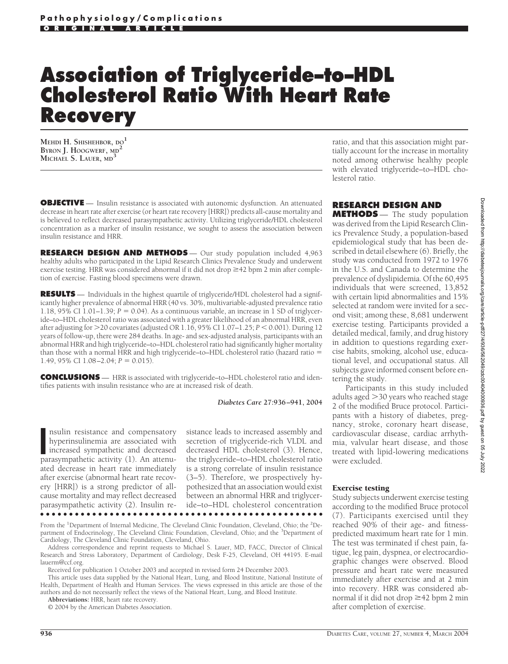# **Association of Triglyceride–to–HDL Cholesterol Ratio With Heart Rate Recovery**

**MEHDI H. SHISHEHBOR, DO<sup>1</sup> BYRON J. HOOGWERF, MD<sup>2</sup> MICHAEL S. LAUER, MD<sup>3</sup>**

**OBJECTIVE** — Insulin resistance is associated with autonomic dysfunction. An attenuated decrease in heart rate after exercise (or heart rate recovery [HRR]) predicts all-cause mortality and is believed to reflect decreased parasympathetic activity. Utilizing triglyceride/HDL cholesterol concentration as a marker of insulin resistance, we sought to assess the association between insulin resistance and HRR.

**RESEARCH DESIGN AND METHODS** — Our study population included 4,963 healthy adults who participated in the Lipid Research Clinics Prevalence Study and underwent exercise testing. HRR was considered abnormal if it did not drop  $\geq$  42 bpm 2 min after completion of exercise. Fasting blood specimens were drawn.

**RESULTS** — Individuals in the highest quartile of triglyceride/HDL cholesterol had a significantly higher prevalence of abnormal HRR (40 vs. 30%, multivariable-adjusted prevalence ratio 1.18,  $95\%$  CI 1.01–1.39;  $P = 0.04$ ). As a continuous variable, an increase in 1 SD of triglyceride–to–HDL cholesterol ratio was associated with a greater likelihood of an abnormal HRR, even after adjusting for -20 covariates (adjusted OR 1.16, 95% CI 1.07–1.25; *P* 0.001). During 12 years of follow-up, there were 284 deaths. In age- and sex-adjusted analysis, participants with an abnormal HRR and high triglyceride–to–HDL cholesterol ratio had significantly higher mortality than those with a normal HRR and high triglyceride–to–HDL cholesterol ratio (hazard ratio 1.49, 95% CI  $1.08 - 2.04$ ;  $P = 0.015$ ).

**CONCLUSIONS** — HRR is associated with triglyceride–to–HDL cholesterol ratio and identifies patients with insulin resistance who are at increased risk of death.

*Diabetes Care* **27:936–941, 2004**

nsulin resistance and compensatory<br>
hyperinsulinemia are associated with<br>
increased sympathetic and decreased<br>
parasympathetic activity (1). An attenunsulin resistance and compensatory hyperinsulinemia are associated with increased sympathetic and decreased ated decrease in heart rate immediately after exercise (abnormal heart rate recovery [HRR]) is a strong predictor of allcause mortality and may reflect decreased parasympathetic activity (2). Insulin re-●●●●●●●●●●●●●●●●●●●●●●●●●●●●●●●●●●●●●●●●●●●●●●●●●

sistance leads to increased assembly and secretion of triglyceride-rich VLDL and decreased HDL cholesterol (3). Hence, the triglyceride–to–HDL cholesterol ratio is a strong correlate of insulin resistance (3–5). Therefore, we prospectively hypothesized that an association would exist between an abnormal HRR and triglyceride–to–HDL cholesterol concentration

From the <sup>1</sup>Department of Internal Medicine, The Cleveland Clinic Foundation, Cleveland, Ohio; the <sup>2</sup>Department of Endocrinology, The Cleveland Clinic Foundation, Cleveland, Ohio; and the <sup>3</sup>Department of Cardiology, The Cleveland Clinic Foundation, Cleveland, Ohio.

Address correspondence and reprint requests to Michael S. Lauer, MD, FACC, Director of Clinical Research and Stress Laboratory, Department of Cardiology, Desk F-25, Cleveland, OH 44195. E-mail lauerm@ccf.org.

Received for publication 1 October 2003 and accepted in revised form 24 December 2003.

This article uses data supplied by the National Heart, Lung, and Blood Institute, National Institute of Health, Department of Health and Human Services. The views expressed in this article are those of the authors and do not necessarily reflect the views of the National Heart, Lung, and Blood Institute.

**Abbreviations:** HRR, heart rate recovery.

© 2004 by the American Diabetes Association.

ratio, and that this association might partially account for the increase in mortality noted among otherwise healthy people with elevated triglyceride–to–HDL cholesterol ratio.

# **RESEARCH DESIGN AND**

**METHODS** — The study population was derived from the Lipid Research Clinics Prevalence Study, a population-based epidemiological study that has been described in detail elsewhere (6). Briefly, the study was conducted from 1972 to 1976 in the U.S. and Canada to determine the prevalence of dyslipidemia. Of the 60,495 individuals that were screened, 13,852 with certain lipid abnormalities and 15% selected at random were invited for a second visit; among these, 8,681 underwent exercise testing. Participants provided a detailed medical, family, and drug history in addition to questions regarding exercise habits, smoking, alcohol use, educational level, and occupational status. All subjects gave informed consent before entering the study.

Participants in this study included adults aged -30 years who reached stage 2 of the modified Bruce protocol. Participants with a history of diabetes, pregnancy, stroke, coronary heart disease, cardiovascular disease, cardiac arrhythmia, valvular heart disease, and those treated with lipid-lowering medications were excluded.

## Exercise testing

Study subjects underwent exercise testing according to the modified Bruce protocol (7). Participants exercised until they reached 90% of their age- and fitnesspredicted maximum heart rate for 1 min. The test was terminated if chest pain, fatigue, leg pain, dyspnea, or electrocardiographic changes were observed. Blood pressure and heart rate were measured immediately after exercise and at 2 min into recovery. HRR was considered abnormal if it did not drop ≥42 bpm 2 min after completion of exercise.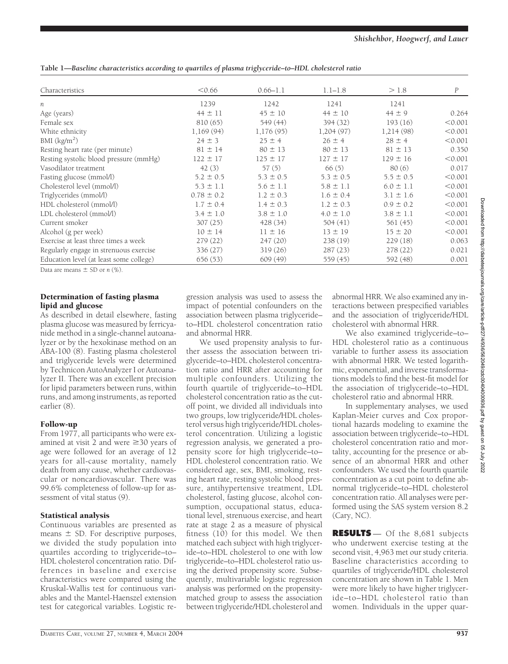and abnormal HRR.

fourth quartile of triglyceride–to–HDL cholesterol concentration ratio as the cutoff point, we divided all individuals into two groups, low triglyceride/HDL cholesterol versus high triglyceride/HDL cholesterol concentration. Utilizing a logistic regression analysis, we generated a propensity score for high triglyceride–to– HDL cholesterol concentration ratio. We considered age, sex, BMI, smoking, resting heart rate, resting systolic blood pressure, antihypertensive treatment, LDL cholesterol, fasting glucose, alcohol consumption, occupational status, educational level, strenuous exercise, and heart rate at stage 2 as a measure of physical fitness (10) for this model. We then matched each subject with high triglyceride–to–HDL cholesterol to one with low triglyceride–to–HDL cholesterol ratio using the derived propensity score. Subsequently, multivariable logistic regression

analysis was performed on the propensitymatched group to assess the association between triglyceride/HDL cholesterol and

abnormal HRR. We also examined any interactions between prespecified variables and the association of triglyceride/HDL cholesterol with abnormal HRR.

We also examined triglyceride–to– HDL cholesterol ratio as a continuous variable to further assess its association with abnormal HRR. We tested logarithmic, exponential, and inverse transformations models to find the best-fit model for the association of triglyceride–to–HDL cholesterol ratio and abnormal HRR.

In supplementary analyses, we used Kaplan-Meier curves and Cox proportional hazards modeling to examine the association between triglyceride–to–HDL cholesterol concentration ratio and mortality, accounting for the presence or absence of an abnormal HRR and other confounders. We used the fourth quartile concentration as a cut point to define abnormal triglyceride–to–HDL cholesterol concentration ratio. All analyses were performed using the SAS system version 8.2 (Cary, NC).

**RESULTS** — Of the 8,681 subjects who underwent exercise testing at the second visit, 4,963 met our study criteria. Baseline characteristics according to quartiles of triglyceride/HDL cholesterol concentration are shown in Table 1. Men were more likely to have higher triglyceride–to–HDL cholesterol ratio than women. Individuals in the upper quar-

**Table 1—***Baseline characteristics according to quartiles of plasma triglyceride–to–HDL cholesterol ratio*

| Characteristics                         | < 0.66         | $0.66 - 1.1$  | $1.1 - 1.8$   | >1.8          | $\boldsymbol{P}$ |
|-----------------------------------------|----------------|---------------|---------------|---------------|------------------|
| n                                       | 1239           | 1242          | 1241          | 1241          |                  |
| Age (years)                             | $44 \pm 11$    | $45 \pm 10$   | $44 \pm 10$   | $44 \pm 9$    | 0.264            |
| Female sex                              | 810 (65)       | 549 (44)      | 394 (32)      | 193(16)       | < 0.001          |
| White ethnicity                         | 1,169(94)      | 1,176(95)     | 1,204(97)     | 1,214(98)     | < 0.001          |
| BMI (kg/m <sup>2</sup> )                | $24 \pm 3$     | $25 \pm 4$    | $26 \pm 4$    | $28 \pm 4$    | < 0.001          |
| Resting heart rate (per minute)         | $81 \pm 14$    | $80 \pm 13$   | $80 \pm 13$   | $81 \pm 13$   | 0.350            |
| Resting systolic blood pressure (mmHg)  | $122 \pm 17$   | $125 \pm 17$  | $127 \pm 17$  | $129 \pm 16$  | < 0.001          |
| Vasodilator treatment                   | 42(3)          | 57(5)         | 66(5)         | 80(6)         | 0.017            |
| Fasting glucose (mmol/l)                | $5.2 \pm 0.5$  | $5.3 \pm 0.5$ | $5.3 \pm 0.5$ | $5.5 \pm 0.5$ | < 0.001          |
| Cholesterol level (mmol/l)              | $5.3 \pm 1.1$  | $5.6 \pm 1.1$ | $5.8 \pm 1.1$ | $6.0 \pm 1.1$ | < 0.001          |
| Triglycerides (mmol/l)                  | $0.78 \pm 0.2$ | $1.2 \pm 0.3$ | $1.6 \pm 0.4$ | $3.1 \pm 1.6$ | < 0.001          |
| HDL cholesterol (mmol/l)                | $1.7 \pm 0.4$  | $1.4 \pm 0.3$ | $1.2 \pm 0.3$ | $0.9 \pm 0.2$ | < 0.001          |
| LDL cholesterol (mmol/l)                | $3.4 \pm 1.0$  | $3.8 \pm 1.0$ | $4.0 \pm 1.0$ | $3.8 \pm 1.1$ | < 0.001          |
| Current smoker                          | 307(25)        | 428 (34)      | 504(41)       | 561(45)       | < 0.001          |
| Alcohol (g per week)                    | $10 \pm 14$    | $11 \pm 16$   | $13 \pm 19$   | $15 \pm 20$   | < 0.001          |
| Exercise at least three times a week    | 279 (22)       | 247(20)       | 238(19)       | 229(18)       | 0.063            |
| Regularly engage in strenuous exercise  | 336 (27)       | 319(26)       | 287(23)       | 278 (22)      | 0.021            |
| Education level (at least some college) | 656 (53)       | 609 (49)      | 559 (45)      | 592 (48)      | 0.001            |

gression analysis was used to assess the impact of potential confounders on the association between plasma triglyceride– to–HDL cholesterol concentration ratio

We used propensity analysis to further assess the association between triglyceride–to–HDL cholesterol concentration ratio and HRR after accounting for multiple confounders. Utilizing the

Data are means  $\pm$  SD or *n* (%).

#### Determination of fasting plasma lipid and glucose

As described in detail elsewhere, fasting plasma glucose was measured by ferricyanide method in a single-channel autoanalyzer or by the hexokinase method on an ABA-100 (8). Fasting plasma cholesterol and triglyceride levels were determined by Technicon AutoAnalyzer I or Autoanalyzer II. There was an excellent precision for lipid parameters between runs, within runs, and among instruments, as reported earlier (8).

#### Follow-up

From 1977, all participants who were examined at visit 2 and were  $\geq 30$  years of age were followed for an average of 12 years for all-cause mortality, namely death from any cause, whether cardiovascular or noncardiovascular. There was 99.6% completeness of follow-up for assessment of vital status (9).

## Statistical analysis

Continuous variables are presented as means  $\pm$  SD. For descriptive purposes, we divided the study population into quartiles according to triglyceride–to– HDL cholesterol concentration ratio. Differences in baseline and exercise characteristics were compared using the Kruskal-Wallis test for continuous variables and the Mantel-Haenszel extension test for categorical variables. Logistic re-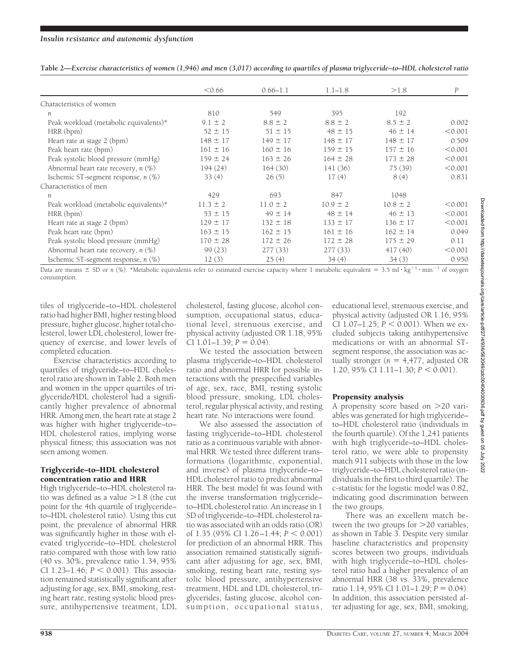|                                          | < 0.66       | $0.66 - 1.1$ | $1.1 - 1.8$  | >1.8                                               | $\boldsymbol{P}$                           |
|------------------------------------------|--------------|--------------|--------------|----------------------------------------------------|--------------------------------------------|
| Characteristics of women                 |              |              |              |                                                    |                                            |
| n                                        | 810          | 549          | 395          | 192                                                |                                            |
| Peak workload (metabolic equivalents)*   | $9.1 \pm 2$  | $8.8 \pm 2$  | $8.8 \pm 2$  | $8.5 \pm 2$                                        | 0.002                                      |
| HRR (bpm)                                | $52 \pm 15$  | $51 \pm 15$  | $48 \pm 15$  | $46 \pm 14$                                        | < 0.001                                    |
| Heart rate at stage 2 (bpm)              | $148 \pm 17$ | $149 \pm 17$ | $148 \pm 17$ | $148 \pm 17$                                       | 0.509                                      |
| Peak heart rate (bpm)                    | $161 \pm 16$ | $160 \pm 16$ | $159 \pm 15$ | $157 \pm 16$                                       | < 0.001                                    |
| Peak systolic blood pressure (mmHg)      | $159 \pm 24$ | $163 \pm 26$ | $164 \pm 28$ | $173 \pm 28$                                       | < 0.001                                    |
| Abnormal heart rate recovery, $n$ (%)    | 194(24)      | 164(30)      | 141(36)      | 75(39)                                             | < 0.001                                    |
| Ischemic ST-segment response, $n$ $(\%)$ | 33(4)        | 26(5)        | 17(4)        | 8(4)                                               | 0.831                                      |
| Characteristics of men                   |              |              |              |                                                    |                                            |
| n                                        | 429          | 693          | 847          | 1048                                               |                                            |
| Peak workload (metabolic equivalents)*   | $11.3 \pm 2$ | $11.0 \pm 2$ | $10.9 \pm 2$ | $10.8 \pm 2$                                       | < 0.001                                    |
| HRR (bpm)                                | $53 \pm 15$  | $49 \pm 14$  | $48 \pm 14$  | $46 \pm 13$                                        | < 0.001                                    |
| Heart rate at stage 2 (bpm)              | $129 \pm 17$ | $132 \pm 18$ | $133 \pm 17$ | $136 \pm 17$                                       | < 0.001                                    |
| Peak heart rate (bpm)                    | $163 \pm 15$ | $162 \pm 15$ | $161 \pm 16$ | $162 \pm 14$                                       | 0.049                                      |
| Peak systolic blood pressure (mmHg)      | $170 \pm 28$ | $172 \pm 26$ | $172 \pm 28$ | $175 \pm 29$                                       | 0.11                                       |
| Abnormal heart rate recovery, $n$ (%)    | 99(23)       | 277(33)      | 277(33)      | 417(40)                                            | < 0.001                                    |
| Ischemic ST-segment response, $n$ $(\%)$ | 12(3)        | 25(4)        | 34(4)        | 34(3)<br>$\sim$ $\sim$ $\sim$ $\sim$ $\sim$ $\sim$ | 0.950<br><b>Contract Contract Contract</b> |

Data are means  $\pm$  SD or *n* (%). \*Metabolic equivalents refer to estimated exercise capacity where 1 metabolic equivalent = 3.5 ml  $\cdot$  kg<sup>-1</sup>  $\cdot$  min<sup>-1</sup> of oxygen consumption.

tiles of triglyceride–to–HDL cholesterol ratio had higher BMI, higher resting blood pressure, higher glucose, higher total cholesterol, lower LDL cholesterol, lower frequency of exercise, and lower levels of completed education.

Exercise characteristics according to quartiles of triglyceride–to–HDL cholesterol ratio are shown in Table 2. Both men and women in the upper quartiles of triglyceride/HDL cholesterol had a significantly higher prevalence of abnormal HRR. Among men, the heart rate at stage 2 was higher with higher triglyceride–to– HDL cholesterol ratios, implying worse physical fitness; this association was not seen among women.

## Triglyceride–to–HDL cholesterol concentration ratio and HRR

High triglyceride–to–HDL cholesterol ratio was defined as a value  $>1.8$  (the cut point for the 4th quartile of triglyceride– to–HDL cholesterol ratio). Using this cut point, the prevalence of abnormal HRR was significantly higher in those with elevated triglyceride–to–HDL cholesterol ratio compared with those with low ratio (40 vs. 30%, prevalence ratio 1.34, 95% CI 1.23–1.46;  $P < 0.001$ ). This association remained statistically significant after adjusting for age, sex, BMI, smoking, resting heart rate, resting systolic blood pressure, antihypertensive treatment, LDL

cholesterol, fasting glucose, alcohol consumption, occupational status, educational level, strenuous exercise, and physical activity (adjusted OR 1.18, 95%  $CI$  1.01–1.39;  $P = 0.04$ ).

We tested the association between plasma triglyceride–to–HDL cholesterol ratio and abnormal HRR for possible interactions with the prespecified variables of age, sex, race, BMI, resting systolic blood pressure, smoking, LDL cholesterol, regular physical activity, and resting heart rate. No interactions were found.

We also assessed the association of fasting triglyceride–to–HDL cholesterol ratio as a continuous variable with abnormal HRR. We tested three different transformations (logarithmic, exponential, and inverse) of plasma triglyceride–to– HDL cholesterol ratio to predict abnormal HRR. The best model fit was found with the inverse transformation triglyceride– to–HDL cholesterol ratio. An increase in 1 SD of triglyceride–to–HDL cholesterol ratio was associated with an odds ratio (OR) of 1.35 (95% CI 1.26–1.44;  $P < 0.001$ ) for prediction of an abnormal HRR. This association remained statistically significant after adjusting for age, sex, BMI, smoking, resting heart rate, resting systolic blood pressure, antihypertensive treatment, HDL and LDL cholesterol, triglycerides, fasting glucose, alcohol consumption, occupational status,

educational level, strenuous exercise, and physical activity (adjusted OR 1.16, 95% CI 1.07–1.25;  $\hat{P}$  < 0.001). When we excluded subjects taking antihypertensive medications or with an abnormal STsegment response, the association was actually stronger ( $n = 4,477$ , adjusted OR 1.20, 95% CI 1.11–1.30;  $P < 0.001$ ).

# Propensity analysis

A propensity score based on >20 variables was generated for high triglyceride– to–HDL cholesterol ratio (individuals in the fourth quartile). Of the 1,241 patients with high triglyceride–to–HDL cholesterol ratio, we were able to propensity match 911 subjects with those in the low triglyceride–to–HDL cholesterol ratio (individuals in the first to third quartile). The c-statistic for the logistic model was 0.82, indicating good discrimination between the two groups.

There was an excellent match between the two groups for >20 variables, as shown in Table 3. Despite very similar baseline characteristics and propensity scores between two groups, individuals with high triglyceride–to–HDL cholesterol ratio had a higher prevalence of an abnormal HRR (38 vs. 33%, prevalence ratio 1.14, 95% CI 1.01–1.29;  $P = 0.04$ ). In addition, this association persisted after adjusting for age, sex, BMI, smoking,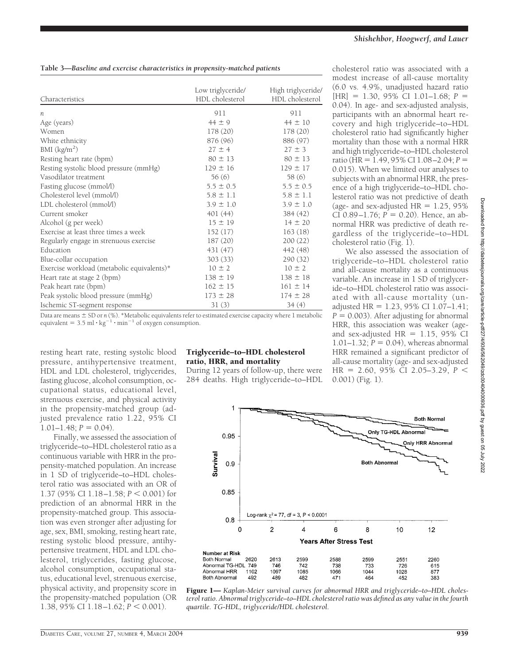# **Table 3—***Baseline and exercise characteristics in propensity-matched patients*

|                                            | Low triglyceride/ | High triglyceride/ |
|--------------------------------------------|-------------------|--------------------|
| Characteristics                            | HDL cholesterol   | HDL cholesterol    |
| n                                          | 911               | 911                |
| Age (years)                                | $44 \pm 9$        | $44 \pm 10$        |
| Women                                      | 178 (20)          | 178 (20)           |
| White ethnicity                            | 876 (96)          | 886 (97)           |
| BMI $(kg/m2)$                              | $27 \pm 4$        | $27 \pm 3$         |
| Resting heart rate (bpm)                   | $80 \pm 13$       | $80 \pm 13$        |
| Resting systolic blood pressure (mmHg)     | $129 \pm 16$      | $129 \pm 17$       |
| Vasodilator treatment                      | 56(6)             | 58 (6)             |
| Fasting glucose (mmol/l)                   | $5.5 \pm 0.5$     | $5.5 \pm 0.5$      |
| Cholesterol level (mmol/l)                 | $5.8 \pm 1.1$     | $5.8 \pm 1.1$      |
| LDL cholesterol (mmol/l)                   | $3.9 \pm 1.0$     | $3.9 \pm 1.0$      |
| Current smoker                             | 401(44)           | 384(42)            |
| Alcohol (g per week)                       | $15 \pm 19$       | $14 \pm 20$        |
| Exercise at least three times a week       | 152(17)           | 163(18)            |
| Regularly engage in strenuous exercise     | 187(20)           | 200(22)            |
| Education                                  | 431 (47)          | 442 (48)           |
| Blue-collar occupation                     | 303(33)           | 290(32)            |
| Exercise workload (metabolic equivalents)* | $10 \pm 2$        | $10 \pm 2$         |
| Heart rate at stage 2 (bpm)                | $138 \pm 19$      | $138 \pm 18$       |
| Peak heart rate (bpm)                      | $162 \pm 15$      | $161 \pm 14$       |
| Peak systolic blood pressure (mmHg)        | $173 \pm 28$      | $174 \pm 28$       |
| Ischemic ST-segment response               | 31(3)             | 34(4)              |

Data are means  $\pm$  SD or *n* (%). \*Metabolic equivalents refer to estimated exercise capacity where 1 metabolic equivalent =  $3.5$  ml  $\cdot$  kg<sup>-1</sup>  $\cdot$  min<sup>-1</sup> of oxygen consumption.

resting heart rate, resting systolic blood pressure, antihypertensive treatment, HDL and LDL cholesterol, triglycerides, fasting glucose, alcohol consumption, occupational status, educational level, strenuous exercise, and physical activity in the propensity-matched group (adjusted prevalence ratio 1.22, 95% CI  $1.01-1.48; P = 0.04$ .

Finally, we assessed the association of triglyceride–to–HDL cholesterol ratio as a continuous variable with HRR in the propensity-matched population. An increase in 1 SD of triglyceride–to–HDL cholesterol ratio was associated with an OR of 1.37 (95% CI 1.18–1.58;  $P < 0.001$ ) for prediction of an abnormal HRR in the propensity-matched group. This association was even stronger after adjusting for age, sex, BMI, smoking, resting heart rate, resting systolic blood pressure, antihypertensive treatment, HDL and LDL cholesterol, triglycerides, fasting glucose, alcohol consumption, occupational status, educational level, strenuous exercise, physical activity, and propensity score in the propensity-matched population (OR 1.38, 95% CI 1.18-1.62; *P* < 0.001).

## Triglyceride–to–HDL cholesterol ratio, HRR, and mortality

During 12 years of follow-up, there were 284 deaths. High triglyceride–to–HDL

cholesterol ratio was associated with a modest increase of all-cause mortality (6.0 vs. 4.9%, unadjusted hazard ratio  $[HR] = 1.30, 95\% \text{ CI } 1.01 - 1.68; P =$ 0.04). In age- and sex-adjusted analysis, participants with an abnormal heart recovery and high triglyceride–to–HDL cholesterol ratio had significantly higher mortality than those with a normal HRR and high triglyceride–to–HDL cholesterol ratio (HR = 1.49, 95% CI 1.08–2.04;  $P =$ 0.015). When we limited our analyses to subjects with an abnormal HRR, the presence of a high triglyceride–to–HDL cholesterol ratio was not predictive of death (age- and sex-adjusted HR  $= 1.25, 95\%$ CI 0.89 $-1.76$ ;  $P = 0.20$ ). Hence, an abnormal HRR was predictive of death regardless of the triglyceride–to–HDL cholesterol ratio (Fig. 1).

We also assessed the association of triglyceride–to–HDL cholesterol ratio and all-cause mortality as a continuous variable. An increase in 1 SD of triglyceride–to–HDL cholesterol ratio was associated with all-cause mortality (unadjusted HR =  $1.23$ , 95% CI  $1.07 - 1.41$ ;  $P = 0.003$ ). After adjusting for abnormal HRR, this association was weaker (ageand sex-adjusted  $HR = 1.15$ , 95% CI  $1.01-1.32$ ;  $P = 0.04$ ), whereas abnormal HRR remained a significant predictor of all-cause mortality (age- and sex-adjusted  $HR = 2.60, 95\% \text{ CI } 2.05 - 3.29, P \leq$ 0.001) (Fig. 1).



Figure 1— *Kaplan-Meier survival curves for abnormal HRR and triglyceride–to–HDL cholesterol ratio. Abnormal triglyceride–to–HDL cholesterol ratio was defined as any value in the fourth quartile. TG-HDL, triglyceride/HDL cholesterol.*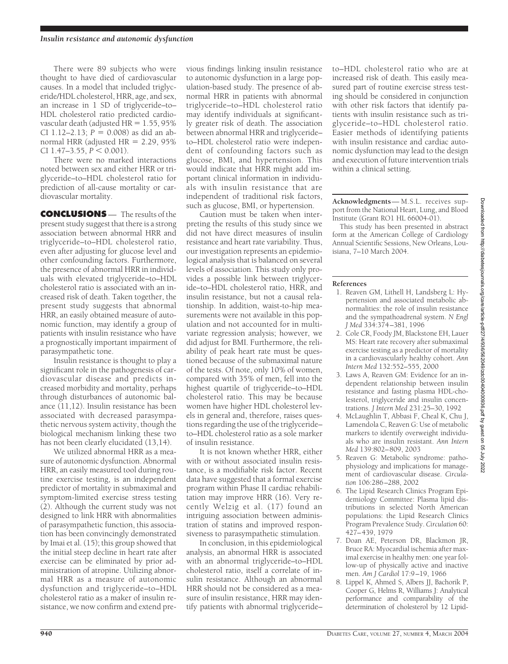There were 89 subjects who were thought to have died of cardiovascular causes. In a model that included triglyceride/HDL cholesterol, HRR, age, and sex, an increase in 1 SD of triglyceride–to– HDL cholesterol ratio predicted cardiovascular death (adjusted  $HR = 1.55, 95\%$ CI 1.12–2.13;  $P = 0.008$ ) as did an abnormal HRR (adjusted HR  $= 2.29, 95\%$  $CI$  1.47–3.55,  $P \le 0.001$ ).

There were no marked interactions noted between sex and either HRR or triglyceride–to–HDL cholesterol ratio for prediction of all-cause mortality or cardiovascular mortality.

**CONCLUSIONS** — The results of the present study suggest that there is a strong association between abnormal HRR and triglyceride–to–HDL cholesterol ratio, even after adjusting for glucose level and other confounding factors. Furthermore, the presence of abnormal HRR in individuals with elevated triglyceride–to–HDL cholesterol ratio is associated with an increased risk of death. Taken together, the present study suggests that abnormal HRR, an easily obtained measure of autonomic function, may identify a group of patients with insulin resistance who have a prognostically important impairment of parasympathetic tone.

Insulin resistance is thought to play a significant role in the pathogenesis of cardiovascular disease and predicts increased morbidity and mortality, perhaps through disturbances of autonomic balance (11,12). Insulin resistance has been associated with decreased parasympathetic nervous system activity, though the biological mechanism linking these two has not been clearly elucidated (13,14).

We utilized abnormal HRR as a measure of autonomic dysfunction. Abnormal HRR, an easily measured tool during routine exercise testing, is an independent predictor of mortality in submaximal and symptom-limited exercise stress testing (2). Although the current study was not designed to link HRR with abnormalities of parasympathetic function, this association has been convincingly demonstrated by Imai et al. (15); this group showed that the initial steep decline in heart rate after exercise can be eliminated by prior administration of atropine. Utilizing abnormal HRR as a measure of autonomic dysfunction and triglyceride–to–HDL cholesterol ratio as a maker of insulin resistance, we now confirm and extend pre-

vious findings linking insulin resistance to autonomic dysfunction in a large population-based study. The presence of abnormal HRR in patients with abnormal triglyceride–to–HDL cholesterol ratio may identify individuals at significantly greater risk of death. The association between abnormal HRR and triglyceride– to–HDL cholesterol ratio were independent of confounding factors such as glucose, BMI, and hypertension. This would indicate that HRR might add important clinical information in individuals with insulin resistance that are independent of traditional risk factors, such as glucose, BMI, or hypertension.

Caution must be taken when interpreting the results of this study since we did not have direct measures of insulin resistance and heart rate variability. Thus, our investigation represents an epidemiological analysis that is balanced on several levels of association. This study only provides a possible link between triglyceride–to–HDL cholesterol ratio, HRR, and insulin resistance, but not a causal relationship. In addition, waist-to-hip measurements were not available in this population and not accounted for in multivariate regression analysis; however, we did adjust for BMI. Furthermore, the reliability of peak heart rate must be questioned because of the submaximal nature of the tests. Of note, only 10% of women, compared with 35% of men, fell into the highest quartile of triglyceride–to–HDL cholesterol ratio. This may be because women have higher HDL cholesterol levels in general and, therefore, raises questions regarding the use of the triglyceride– to–HDL cholesterol ratio as a sole marker of insulin resistance.

It is not known whether HRR, either with or without associated insulin resistance, is a modifiable risk factor. Recent data have suggested that a formal exercise program within Phase II cardiac rehabilitation may improve HRR (16). Very recently Welzig et al. (17) found an intriguing association between administration of statins and improved responsiveness to parasympathetic stimulation.

In conclusion, in this epidemiological analysis, an abnormal HRR is associated with an abnormal triglyceride–to–HDL cholesterol ratio, itself a correlate of insulin resistance. Although an abnormal HRR should not be considered as a measure of insulin resistance, HRR may identify patients with abnormal triglyceride–

to–HDL cholesterol ratio who are at increased risk of death. This easily measured part of routine exercise stress testing should be considered in conjunction with other risk factors that identify patients with insulin resistance such as triglyceride–to–HDL cholesterol ratio. Easier methods of identifying patients with insulin resistance and cardiac autonomic dysfunction may lead to the design and execution of future intervention trials within a clinical setting.

**Acknowledgments**— M.S.L. receives support from the National Heart, Lung, and Blood Institute (Grant RO1 HL 66004-01).

This study has been presented in abstract form at the American College of Cardiology Annual Scientific Sessions, New Orleans, Louisiana, 7–10 March 2004.

#### **References**

- 1. Reaven GM, Lithell H, Landsberg L: Hypertension and associated metabolic abnormalities: the role of insulin resistance and the sympathoadrenal system. *N Engl J Med* 334:374–381, 1996
- 2. Cole CR, Foody JM, Blackstone EH, Lauer MS: Heart rate recovery after submaximal exercise testing as a predictor of mortality in a cardiovascularly healthy cohort. *Ann Intern Med* 132:552–555, 2000
- 3. Laws A, Reaven GM: Evidence for an independent relationship between insulin resistance and fasting plasma HDL-cholesterol, triglyceride and insulin concentrations. *J Intern Med* 231:25–30, 1992
- 4. McLaughlin T, Abbasi F, Cheal K, Chu J, Lamendola C, Reaven G: Use of metabolic markers to identify overweight individuals who are insulin resistant. *Ann Intern Med* 139:802–809, 2003
- 5. Reaven G: Metabolic syndrome: pathophysiology and implications for management of cardiovascular disease. *Circulation* 106:286–288, 2002
- 6. The Lipid Research Clinics Program Epidemiology Committee: Plasma lipid distributions in selected North American populations: the Lipid Research Clinics Program Prevalence Study. *Circulation* 60: 427–439, 1979
- 7. Doan AE, Peterson DR, Blackmon JR, Bruce RA: Myocardial ischemia after maximal exercise in healthy men: one year follow-up of physically active and inactive men. *Am J Cardiol* 17:9–19, 1966
- 8. Lippel K, Ahmed S, Albers JJ, Bachorik P, Cooper G, Helms R, Williams J: Analytical performance and comparability of the determination of cholesterol by 12 Lipid-